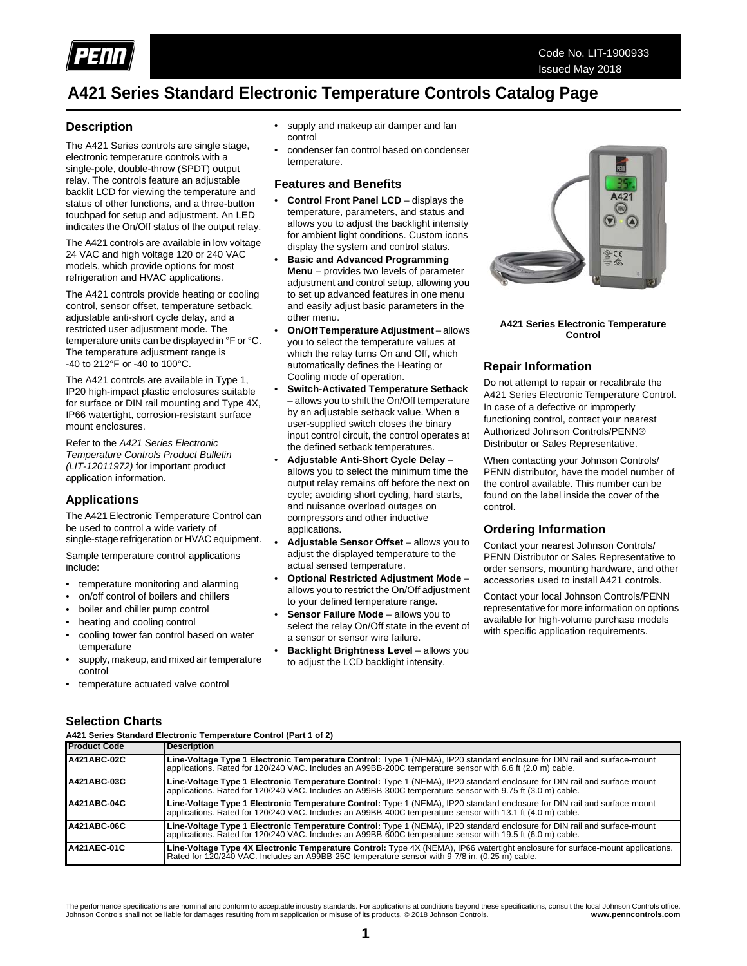

### **A421 Series Standard Electronic Temperature Controls Catalog Page**

### **Description**

The A421 Series controls are single stage, electronic temperature controls with a single-pole, double-throw (SPDT) output relay. The controls feature an adjustable backlit LCD for viewing the temperature and status of other functions, and a three-button touchpad for setup and adjustment. An LED indicates the On/Off status of the output relay.

The A421 controls are available in low voltage 24 VAC and high voltage 120 or 240 VAC models, which provide options for most refrigeration and HVAC applications.

The A421 controls provide heating or cooling control, sensor offset, temperature setback, adjustable anti-short cycle delay, and a restricted user adjustment mode. The temperature units can be displayed in °F or °C. The temperature adjustment range is -40 to 212°F or -40 to 100°C.

The A421 controls are available in Type 1, IP20 high-impact plastic enclosures suitable for surface or DIN rail mounting and Type 4X, IP66 watertight, corrosion-resistant surface mount enclosures.

Refer to the *A421 Series Electronic Temperature Controls Product Bulletin (LIT-12011972)* for important product application information.

### **Applications**

The A421 Electronic Temperature Control can be used to control a wide variety of single-stage refrigeration or HVAC equipment.

Sample temperature control applications include:

- temperature monitoring and alarming
- on/off control of boilers and chillers
- boiler and chiller pump control
- heating and cooling control
- cooling tower fan control based on water temperature
- supply, makeup, and mixed air temperature control
- temperature actuated valve control
- supply and makeup air damper and fan control
- condenser fan control based on condenser temperature.

### **Features and Benefits**

- **Control Front Panel LCD** displays the temperature, parameters, and status and allows you to adjust the backlight intensity for ambient light conditions. Custom icons display the system and control status.
- **Basic and Advanced Programming Menu** – provides two levels of parameter adjustment and control setup, allowing you to set up advanced features in one menu and easily adjust basic parameters in the other menu.
- **On/Off Temperature Adjustment** allows you to select the temperature values at which the relay turns On and Off, which automatically defines the Heating or Cooling mode of operation.
- **Switch-Activated Temperature Setback** – allows you to shift the On/Off temperature by an adjustable setback value. When a user-supplied switch closes the binary input control circuit, the control operates at the defined setback temperatures.
- **Adjustable Anti-Short Cycle Delay** allows you to select the minimum time the output relay remains off before the next on cycle; avoiding short cycling, hard starts, and nuisance overload outages on compressors and other inductive applications.
- **Adjustable Sensor Offset** allows you to adjust the displayed temperature to the actual sensed temperature.
- **Optional Restricted Adjustment Mode** allows you to restrict the On/Off adjustment to your defined temperature range.
- **Sensor Failure Mode** allows you to select the relay On/Off state in the event of a sensor or sensor wire failure.
- **Backlight Brightness Level allows you** to adjust the LCD backlight intensity.



**A421 Series Electronic Temperature Control**

### **Repair Information**

Do not attempt to repair or recalibrate the A421 Series Electronic Temperature Control. In case of a defective or improperly functioning control, contact your nearest Authorized Johnson Controls/PENN® Distributor or Sales Representative.

When contacting your Johnson Controls/ PENN distributor, have the model number of the control available. This number can be found on the label inside the cover of the control.

### **Ordering Information**

Contact your nearest Johnson Controls/ PENN Distributor or Sales Representative to order sensors, mounting hardware, and other accessories used to install A421 controls.

Contact your local Johnson Controls/PENN representative for more information on options available for high-volume purchase models with specific application requirements.

### **Selection Charts**

**A421 Series Standard Electronic Temperature Control (Part 1 of 2)**

| <b>Product Code</b> | <b>Description</b>                                                                                                                                                                                                                      |
|---------------------|-----------------------------------------------------------------------------------------------------------------------------------------------------------------------------------------------------------------------------------------|
| A421ABC-02C         | Line-Voltage Type 1 Electronic Temperature Control: Type 1 (NEMA), IP20 standard enclosure for DIN rail and surface-mount<br>applications. Rated for 120/240 VAC. Includes an A99BB-200C temperature sensor with 6.6 ft (2.0 m) cable.  |
| A421ABC-03C         | Line-Voltage Type 1 Electronic Temperature Control: Type 1 (NEMA), IP20 standard enclosure for DIN rail and surface-mount<br>applications. Rated for 120/240 VAC. Includes an A99BB-300C temperature sensor with 9.75 ft (3.0 m) cable. |
| A421ABC-04C         | Line-Voltage Type 1 Electronic Temperature Control: Type 1 (NEMA), IP20 standard enclosure for DIN rail and surface-mount<br>applications. Rated for 120/240 VAC. Includes an A99BB-400C temperature sensor with 13.1 ft (4.0 m) cable. |
| A421ABC-06C         | Line-Voltage Type 1 Electronic Temperature Control: Type 1 (NEMA), IP20 standard enclosure for DIN rail and surface-mount<br>applications. Rated for 120/240 VAC. Includes an A99BB-600C temperature sensor with 19.5 ft (6.0 m) cable. |
| A421AEC-01C         | Line-Voltage Type 4X Electronic Temperature Control: Type 4X (NEMA), IP66 watertight enclosure for surface-mount applications.<br>Rated for 120/240 VAC. Includes an A99BB-25C temperature sensor with 9-7/8 in. (0.25 m) cable.        |

The performance specifications are nominal and conform to acceptable industry standards. For applications at conditions beyond these specifications, consult the local Johnson Controls office.<br>Johnson Controls real in the l Johnson Controls shall not be liable for damages resulting from misapplication or misuse of its products. © 2018 Johnson Controls.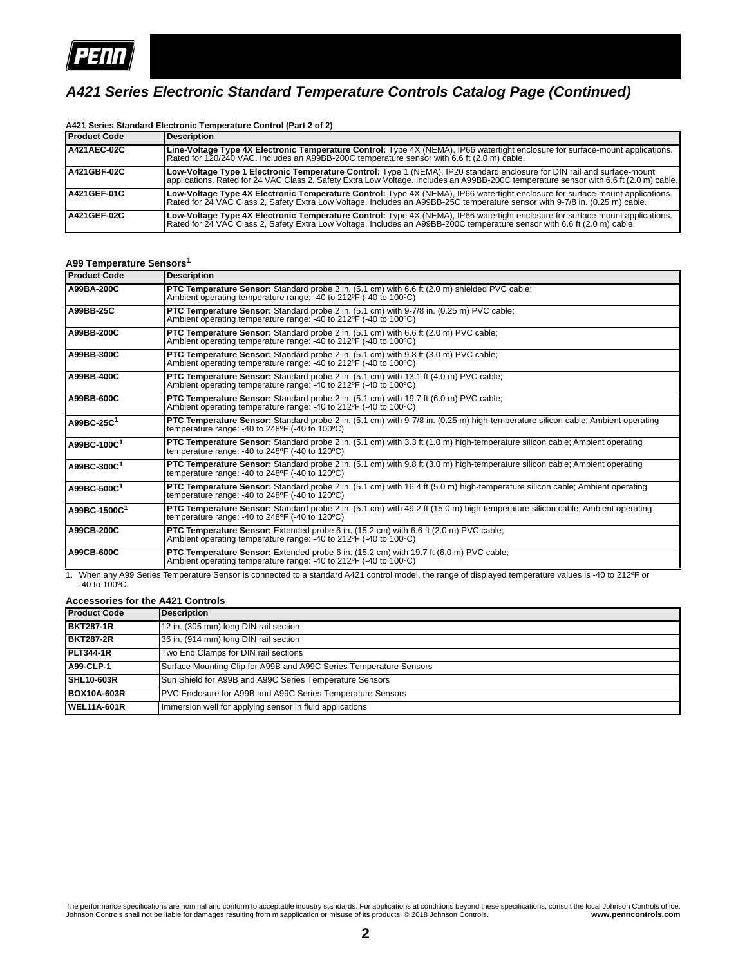

### *A421 Series Electronic Standard Temperature Controls Catalog Page (Continued)*

| <b>Product Code</b> | Description                                                                                                                                                                                                                                                        |
|---------------------|--------------------------------------------------------------------------------------------------------------------------------------------------------------------------------------------------------------------------------------------------------------------|
| <b>A421AEC-02C</b>  | Line-Voltage Type 4X Electronic Temperature Control: Type 4X (NEMA), IP66 watertight enclosure for surface-mount applications.<br>Rated for 120/240 VAC. Includes an A99BB-200C temperature sensor with 6.6 ft (2.0 m) cable.                                      |
| <b>A421GBF-02C</b>  | Low-Voltage Type 1 Electronic Temperature Control: Type 1 (NEMA), IP20 standard enclosure for DIN rail and surface-mount<br>applications. Rated for 24 VAC Class 2, Safety Extra Low Voltage. Includes an A99BB-200C temperature sensor with 6.6 ft (2.0 m) cable. |
| <b>A421GEF-01C</b>  | Low-Voltage Type 4X Electronic Temperature Control: Type 4X (NEMA), IP66 watertight enclosure for surface-mount applications.<br>Rated for 24 VAC Class 2, Safety Extra Low Voltage. Includes an A99BB-25C temperature sensor with 9-7/8 in. (0.25 m) cable.       |
| <b>A421GEF-02C</b>  | Low-Voltage Type 4X Electronic Temperature Control: Type 4X (NEMA), IP66 watertight enclosure for surface-mount applications.<br>Rated for 24 VAC Class 2, Safety Extra Low Voltage. Includes an A99BB-200C temperature sensor with 6.6 ft (2.0 m) cable.          |

# **A421 Series Standard Electronic Temperature Control (Part 2 of 2)**

### **A99 Temperature Sensors<sup>1</sup>**

| <b>Product Code</b>      | <b>Description</b>                                                                                                                                                                                                      |
|--------------------------|-------------------------------------------------------------------------------------------------------------------------------------------------------------------------------------------------------------------------|
| A99BA-200C               | <b>PTC Temperature Sensor:</b> Standard probe 2 in. (5.1 cm) with 6.6 ft (2.0 m) shielded PVC cable;<br>Ambient operating temperature range: -40 to 212°F (-40 to 100°C)                                                |
| A99BB-25C                | PTC Temperature Sensor: Standard probe 2 in. (5.1 cm) with 9-7/8 in. (0.25 m) PVC cable;<br>Ambient operating temperature range: -40 to 212°F (-40 to 100°C)                                                            |
| A99BB-200C               | <b>PTC Temperature Sensor:</b> Standard probe 2 in. (5.1 cm) with 6.6 ft (2.0 m) PVC cable;<br>Ambient operating temperature range: -40 to 212 °F (-40 to 100 °C)                                                       |
| A99BB-300C               | <b>PTC Temperature Sensor:</b> Standard probe 2 in. (5.1 cm) with 9.8 ft (3.0 m) PVC cable;<br>Ambient operating temperature range: -40 to 212 °F (-40 to 100 °C)                                                       |
| A99BB-400C               | <b>PTC Temperature Sensor:</b> Standard probe 2 in. (5.1 cm) with 13.1 ft (4.0 m) PVC cable:<br>Ambient operating temperature range: -40 to 212 °F (-40 to 100 °C)                                                      |
| A99BB-600C               | <b>PTC Temperature Sensor:</b> Standard probe 2 in. (5.1 cm) with 19.7 ft (6.0 m) PVC cable;<br>Ambient operating temperature range: -40 to 212°F (-40 to 100°C)                                                        |
| A99BC-25C <sup>1</sup>   | <b>PTC Temperature Sensor:</b> Standard probe 2 in. (5.1 cm) with 9-7/8 in. (0.25 m) high-temperature silicon cable; Ambient operating<br>temperature range: $-40$ to 248 <sup>o</sup> F $(-40)$ to 100 <sup>o</sup> C) |
| A99BC-100C <sup>1</sup>  | <b>PTC Temperature Sensor:</b> Standard probe 2 in. (5.1 cm) with 3.3 ft (1.0 m) high-temperature silicon cable; Ambient operating<br>temperature range: -40 to $248^{\circ}F$ (-40 to $120^{\circ}C$ )                 |
| A99BC-300C <sup>1</sup>  | PTC Temperature Sensor: Standard probe 2 in. (5.1 cm) with 9.8 ft (3.0 m) high-temperature silicon cable; Ambient operating<br>temperature range: -40 to $248^{\circ}F$ (-40 to $120^{\circ}C$ )                        |
| A99BC-500C <sup>1</sup>  | PTC Temperature Sensor: Standard probe 2 in. (5.1 cm) with 16.4 ft (5.0 m) high-temperature silicon cable; Ambient operating<br>temperature range: $-40$ to 248 <sup>o</sup> F $(-40)$ to 120 <sup>o</sup> C)           |
| A99BC-1500C <sup>1</sup> | PTC Temperature Sensor: Standard probe 2 in. (5.1 cm) with 49.2 ft (15.0 m) high-temperature silicon cable; Ambient operating<br>temperature range: -40 to $248^{\circ}F$ (-40 to $120^{\circ}C$ )                      |
| A99CB-200C               | <b>PTC Temperature Sensor:</b> Extended probe 6 in. (15.2 cm) with 6.6 ft (2.0 m) PVC cable;<br>Ambient operating temperature range: -40 to 212 °F (-40 to 100 °C)                                                      |
| A99CB-600C               | <b>PTC Temperature Sensor:</b> Extended probe 6 in. (15.2 cm) with 19.7 ft (6.0 m) PVC cable;<br>Ambient operating temperature range: -40 to 212°F (-40 to 100°C)                                                       |

1. When any A99 Series Temperature Sensor is connected to a standard A421 control model, the range of displayed temperature values is -40 to 212ºF or -40 to 100ºC.

#### **Accessories for the A421 Controls**

| <b>Product Code</b> | Description                                                        |
|---------------------|--------------------------------------------------------------------|
| <b>BKT287-1R</b>    | 12 in. (305 mm) long DIN rail section                              |
| <b>BKT287-2R</b>    | 36 in. (914 mm) long DIN rail section                              |
| <b>PLT344-1R</b>    | Two End Clamps for DIN rail sections                               |
| <b>A99-CLP-1</b>    | Surface Mounting Clip for A99B and A99C Series Temperature Sensors |
| <b>SHL10-603R</b>   | Sun Shield for A99B and A99C Series Temperature Sensors            |
| <b>BOX10A-603R</b>  | PVC Enclosure for A99B and A99C Series Temperature Sensors         |
| <b>IWEL11A-601R</b> | Immersion well for applying sensor in fluid applications           |